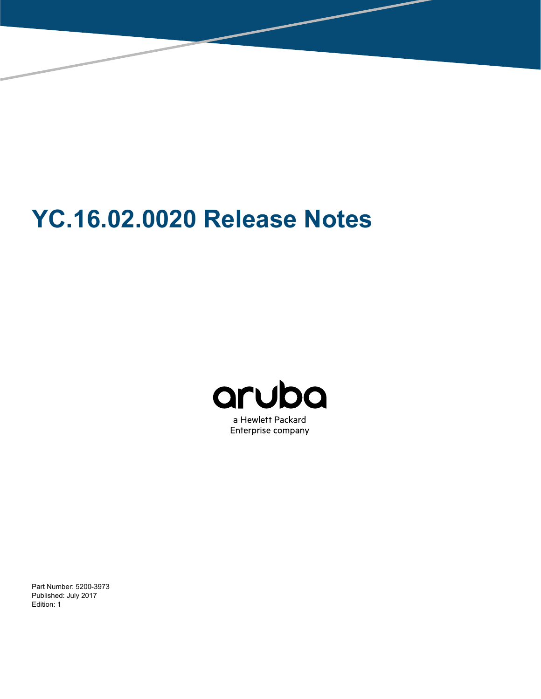# **YC.16.02.0020 Release Notes**



a Hewlett Packard Enterprise company

Part Number: 5200-3973 Published: July 2017 Edition: 1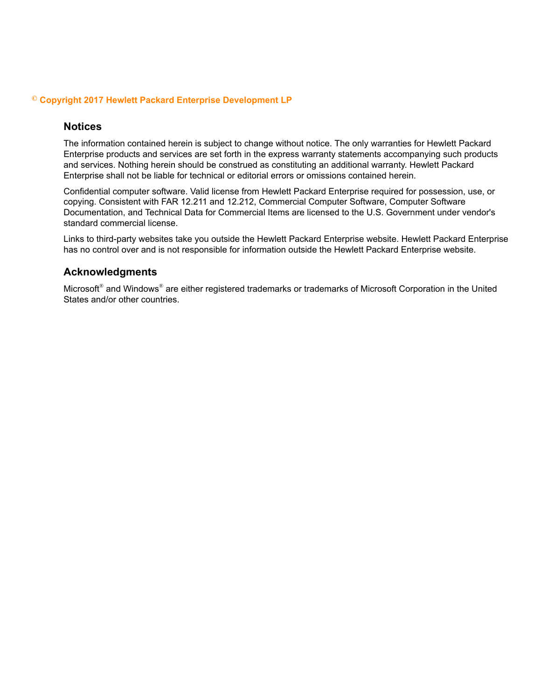#### **© Copyright 2017 Hewlett Packard Enterprise Development LP**

#### **Notices**

The information contained herein is subject to change without notice. The only warranties for Hewlett Packard Enterprise products and services are set forth in the express warranty statements accompanying such products and services. Nothing herein should be construed as constituting an additional warranty. Hewlett Packard Enterprise shall not be liable for technical or editorial errors or omissions contained herein.

Confidential computer software. Valid license from Hewlett Packard Enterprise required for possession, use, or copying. Consistent with FAR 12.211 and 12.212, Commercial Computer Software, Computer Software Documentation, and Technical Data for Commercial Items are licensed to the U.S. Government under vendor's standard commercial license.

Links to third-party websites take you outside the Hewlett Packard Enterprise website. Hewlett Packard Enterprise has no control over and is not responsible for information outside the Hewlett Packard Enterprise website.

#### **Acknowledgments**

Microsoft® and Windows® are either registered trademarks or trademarks of Microsoft Corporation in the United States and/or other countries.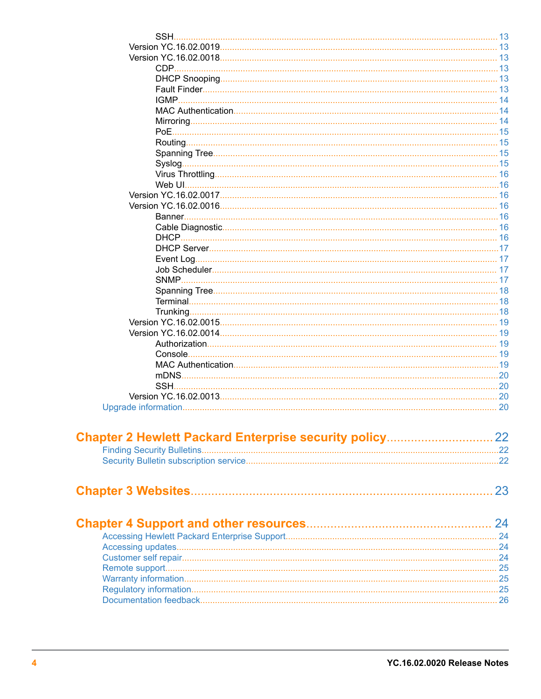| SSH                                                     |    |
|---------------------------------------------------------|----|
|                                                         |    |
|                                                         |    |
| CDP.                                                    |    |
|                                                         |    |
|                                                         |    |
| IGMP.                                                   |    |
|                                                         |    |
|                                                         |    |
|                                                         |    |
|                                                         |    |
|                                                         |    |
|                                                         |    |
|                                                         |    |
| Web UI                                                  |    |
|                                                         |    |
|                                                         |    |
|                                                         |    |
|                                                         |    |
| DHCP                                                    |    |
|                                                         |    |
|                                                         |    |
|                                                         |    |
| SNMP.                                                   |    |
|                                                         |    |
|                                                         |    |
| Trunking.                                               |    |
|                                                         |    |
|                                                         |    |
|                                                         |    |
| Console                                                 |    |
|                                                         |    |
| SSH.                                                    |    |
|                                                         |    |
|                                                         |    |
|                                                         | 20 |
|                                                         |    |
| Chapter 2 Hewlett Packard Enterprise security policy 22 |    |
|                                                         |    |
|                                                         |    |
|                                                         |    |
|                                                         |    |
|                                                         | 23 |
|                                                         |    |
|                                                         |    |
|                                                         | 24 |
|                                                         |    |
|                                                         |    |
|                                                         |    |
|                                                         |    |
|                                                         |    |
|                                                         |    |
|                                                         |    |
|                                                         |    |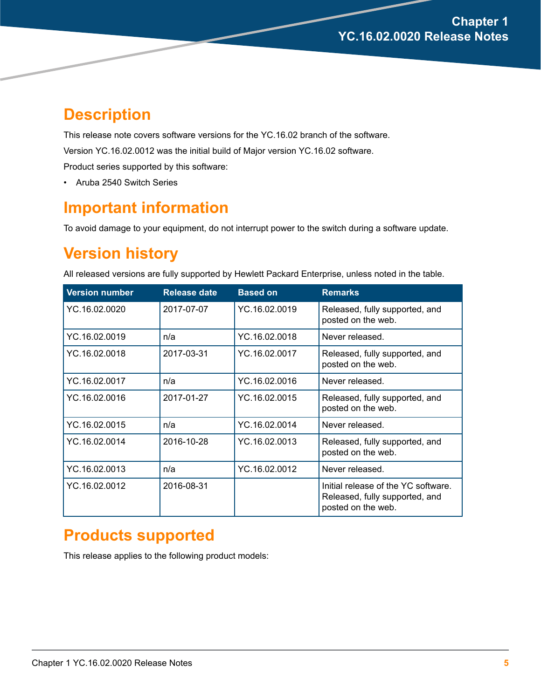## <span id="page-4-0"></span>**Description**

This release note covers software versions for the YC.16.02 branch of the software.

Version YC.16.02.0012 was the initial build of Major version YC.16.02 software.

Product series supported by this software:

• Aruba 2540 Switch Series

## **Important information**

To avoid damage to your equipment, do not interrupt power to the switch during a software update.

## **Version history**

All released versions are fully supported by Hewlett Packard Enterprise, unless noted in the table.

| <b>Version number</b> | Release date | <b>Based on</b> | <b>Remarks</b>                                                                              |
|-----------------------|--------------|-----------------|---------------------------------------------------------------------------------------------|
| YC.16.02.0020         | 2017-07-07   | YC.16.02.0019   | Released, fully supported, and<br>posted on the web.                                        |
| YC.16.02.0019         | n/a          | YC.16.02.0018   | Never released.                                                                             |
| YC.16.02.0018         | 2017-03-31   | YC.16.02.0017   | Released, fully supported, and<br>posted on the web.                                        |
| YC.16.02.0017         | n/a          | YC.16.02.0016   | Never released.                                                                             |
| YC.16.02.0016         | 2017-01-27   | YC.16.02.0015   | Released, fully supported, and<br>posted on the web.                                        |
| YC.16.02.0015         | n/a          | YC.16.02.0014   | Never released.                                                                             |
| YC.16.02.0014         | 2016-10-28   | YC.16.02.0013   | Released, fully supported, and<br>posted on the web.                                        |
| YC.16.02.0013         | n/a          | YC.16.02.0012   | Never released.                                                                             |
| YC.16.02.0012         | 2016-08-31   |                 | Initial release of the YC software.<br>Released, fully supported, and<br>posted on the web. |

## **Products supported**

This release applies to the following product models: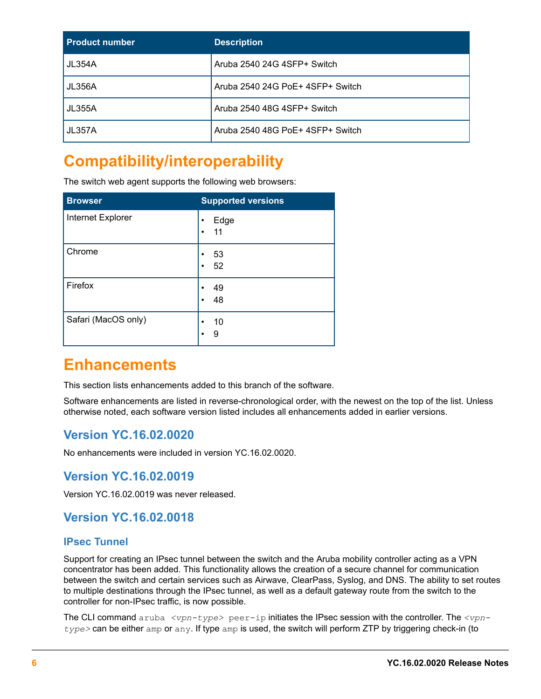<span id="page-5-0"></span>

| <b>Product number</b> | <b>Description</b>               |  |  |
|-----------------------|----------------------------------|--|--|
| JL354A                | Aruba 2540 24G 4SFP+ Switch      |  |  |
| <b>JL356A</b>         | Aruba 2540 24G PoE+ 4SFP+ Switch |  |  |
| JL355A                | Aruba 2540 48G 4SFP+ Switch      |  |  |
| JL357A                | Aruba 2540 48G PoE+ 4SFP+ Switch |  |  |

## **Compatibility/interoperability**

The switch web agent supports the following web browsers:

| <b>Browser</b>      | <b>Supported versions</b> |
|---------------------|---------------------------|
| Internet Explorer   | Edge<br>٠<br>11<br>٠      |
| Chrome              | 53<br>52<br>٠             |
| Firefox             | 49<br>48<br>٠             |
| Safari (MacOS only) | 10<br>9                   |

## **Enhancements**

This section lists enhancements added to this branch of the software.

Software enhancements are listed in reverse-chronological order, with the newest on the top of the list. Unless otherwise noted, each software version listed includes all enhancements added in earlier versions.

## **Version YC.16.02.0020**

No enhancements were included in version YC.16.02.0020.

## **Version YC.16.02.0019**

Version YC.16.02.0019 was never released.

## **Version YC.16.02.0018**

## **IPsec Tunnel**

Support for creating an IPsec tunnel between the switch and the Aruba mobility controller acting as a VPN concentrator has been added. This functionality allows the creation of a secure channel for communication between the switch and certain services such as Airwave, ClearPass, Syslog, and DNS. The ability to set routes to multiple destinations through the IPsec tunnel, as well as a default gateway route from the switch to the controller for non-IPsec traffic, is now possible.

The CLI command aruba *<vpn-type>* peer-ip initiates the IPsec session with the controller. The *<vpntype>* can be either amp or any. If type amp is used, the switch will perform ZTP by triggering check-in (to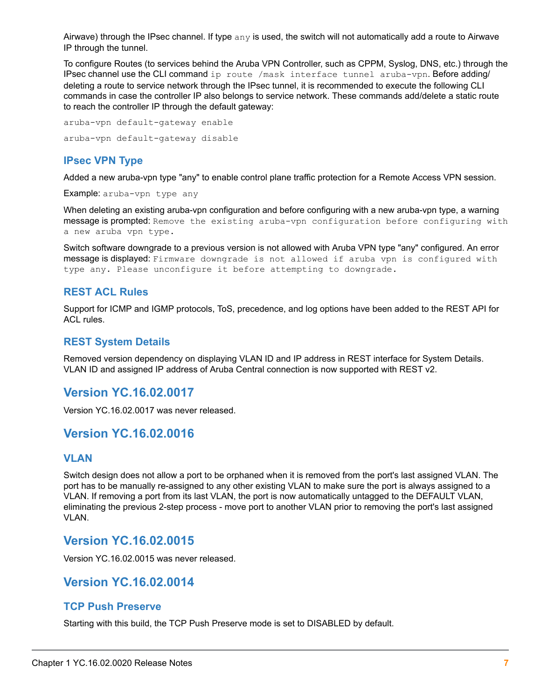<span id="page-6-0"></span>Airwave) through the IPsec channel. If type  $\text{any}$  is used, the switch will not automatically add a route to Airwave IP through the tunnel.

To configure Routes (to services behind the Aruba VPN Controller, such as CPPM, Syslog, DNS, etc.) through the IPsec channel use the CLI command ip route /mask interface tunnel aruba-vpn. Before adding/ deleting a route to service network through the IPsec tunnel, it is recommended to execute the following CLI commands in case the controller IP also belongs to service network. These commands add/delete a static route to reach the controller IP through the default gateway:

aruba-vpn default-gateway enable aruba-vpn default-gateway disable

#### **IPsec VPN Type**

Added a new aruba-vpn type "any" to enable control plane traffic protection for a Remote Access VPN session.

Example: aruba-vpn type any

When deleting an existing aruba-vpn configuration and before configuring with a new aruba-vpn type, a warning message is prompted: Remove the existing aruba-vpn configuration before configuring with a new aruba vpn type.

Switch software downgrade to a previous version is not allowed with Aruba VPN type "any" configured. An error message is displayed: Firmware downgrade is not allowed if aruba vpn is configured with type any. Please unconfigure it before attempting to downgrade.

#### **REST ACL Rules**

Support for ICMP and IGMP protocols, ToS, precedence, and log options have been added to the REST API for ACL rules.

#### **REST System Details**

Removed version dependency on displaying VLAN ID and IP address in REST interface for System Details. VLAN ID and assigned IP address of Aruba Central connection is now supported with REST v2.

## **Version YC.16.02.0017**

Version YC.16.02.0017 was never released.

## **Version YC.16.02.0016**

#### **VLAN**

Switch design does not allow a port to be orphaned when it is removed from the port's last assigned VLAN. The port has to be manually re-assigned to any other existing VLAN to make sure the port is always assigned to a VLAN. If removing a port from its last VLAN, the port is now automatically untagged to the DEFAULT VLAN, eliminating the previous 2-step process - move port to another VLAN prior to removing the port's last assigned VLAN.

## **Version YC.16.02.0015**

Version YC.16.02.0015 was never released.

## **Version YC.16.02.0014**

#### **TCP Push Preserve**

Starting with this build, the TCP Push Preserve mode is set to DISABLED by default.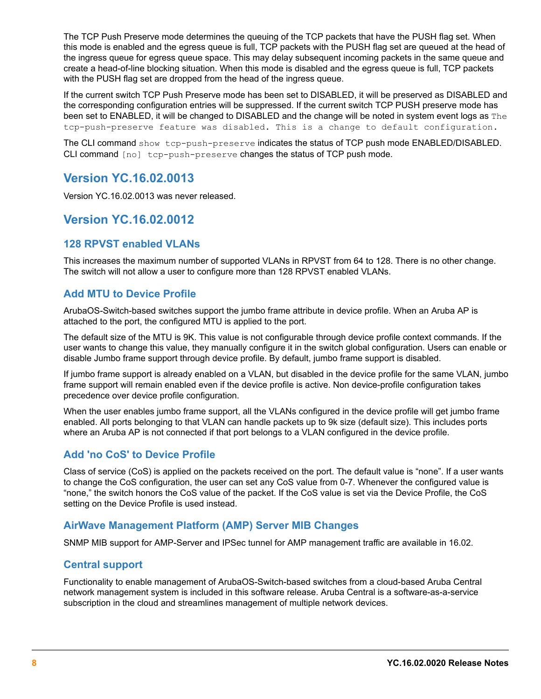<span id="page-7-0"></span>The TCP Push Preserve mode determines the queuing of the TCP packets that have the PUSH flag set. When this mode is enabled and the egress queue is full, TCP packets with the PUSH flag set are queued at the head of the ingress queue for egress queue space. This may delay subsequent incoming packets in the same queue and create a head-of-line blocking situation. When this mode is disabled and the egress queue is full, TCP packets with the PUSH flag set are dropped from the head of the ingress queue.

If the current switch TCP Push Preserve mode has been set to DISABLED, it will be preserved as DISABLED and the corresponding configuration entries will be suppressed. If the current switch TCP PUSH preserve mode has been set to ENABLED, it will be changed to DISABLED and the change will be noted in system event logs as The tcp-push-preserve feature was disabled. This is a change to default configuration.

The CLI command show tcp-push-preserve indicates the status of TCP push mode ENABLED/DISABLED. CLI command  $\lceil$ no $\rceil$  tcp-push-preserve changes the status of TCP push mode.

## **Version YC.16.02.0013**

Version YC.16.02.0013 was never released.

## **Version YC.16.02.0012**

## **128 RPVST enabled VLANs**

This increases the maximum number of supported VLANs in RPVST from 64 to 128. There is no other change. The switch will not allow a user to configure more than 128 RPVST enabled VLANs.

#### **Add MTU to Device Profile**

ArubaOS-Switch-based switches support the jumbo frame attribute in device profile. When an Aruba AP is attached to the port, the configured MTU is applied to the port.

The default size of the MTU is 9K. This value is not configurable through device profile context commands. If the user wants to change this value, they manually configure it in the switch global configuration. Users can enable or disable Jumbo frame support through device profile. By default, jumbo frame support is disabled.

If jumbo frame support is already enabled on a VLAN, but disabled in the device profile for the same VLAN, jumbo frame support will remain enabled even if the device profile is active. Non device-profile configuration takes precedence over device profile configuration.

When the user enables jumbo frame support, all the VLANs configured in the device profile will get jumbo frame enabled. All ports belonging to that VLAN can handle packets up to 9k size (default size). This includes ports where an Aruba AP is not connected if that port belongs to a VLAN configured in the device profile.

## **Add 'no CoS' to Device Profile**

Class of service (CoS) is applied on the packets received on the port. The default value is "none". If a user wants to change the CoS configuration, the user can set any CoS value from 0-7. Whenever the configured value is "none," the switch honors the CoS value of the packet. If the CoS value is set via the Device Profile, the CoS setting on the Device Profile is used instead.

#### **AirWave Management Platform (AMP) Server MIB Changes**

SNMP MIB support for AMP-Server and IPSec tunnel for AMP management traffic are available in 16.02.

#### **Central support**

Functionality to enable management of ArubaOS-Switch-based switches from a cloud-based Aruba Central network management system is included in this software release. Aruba Central is a software-as-a-service subscription in the cloud and streamlines management of multiple network devices.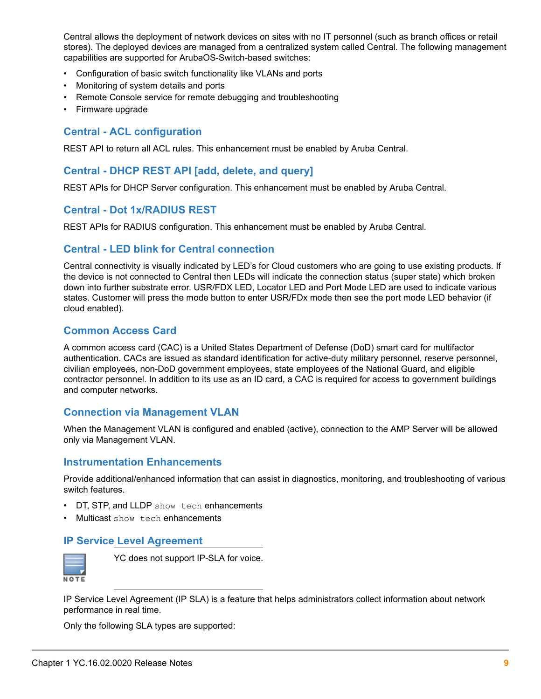<span id="page-8-0"></span>Central allows the deployment of network devices on sites with no IT personnel (such as branch offices or retail stores). The deployed devices are managed from a centralized system called Central. The following management capabilities are supported for ArubaOS-Switch-based switches:

- Configuration of basic switch functionality like VLANs and ports
- Monitoring of system details and ports
- Remote Console service for remote debugging and troubleshooting
- Firmware upgrade

#### **Central - ACL configuration**

REST API to return all ACL rules. This enhancement must be enabled by Aruba Central.

#### **Central - DHCP REST API [add, delete, and query]**

REST APIs for DHCP Server configuration. This enhancement must be enabled by Aruba Central.

#### **Central - Dot 1x/RADIUS REST**

REST APIs for RADIUS configuration. This enhancement must be enabled by Aruba Central.

#### **Central - LED blink for Central connection**

Central connectivity is visually indicated by LED's for Cloud customers who are going to use existing products. If the device is not connected to Central then LEDs will indicate the connection status (super state) which broken down into further substrate error. USR/FDX LED, Locator LED and Port Mode LED are used to indicate various states. Customer will press the mode button to enter USR/FDx mode then see the port mode LED behavior (if cloud enabled).

#### **Common Access Card**

A common access card (CAC) is a United States Department of Defense (DoD) smart card for multifactor authentication. CACs are issued as standard identification for active-duty military personnel, reserve personnel, civilian employees, non-DoD government employees, state employees of the National Guard, and eligible contractor personnel. In addition to its use as an ID card, a CAC is required for access to government buildings and computer networks.

#### **Connection via Management VLAN**

When the Management VLAN is configured and enabled (active), connection to the AMP Server will be allowed only via Management VLAN.

#### **Instrumentation Enhancements**

Provide additional/enhanced information that can assist in diagnostics, monitoring, and troubleshooting of various switch features.

- DT, STP, and LLDP show tech enhancements
- Multicast show tech enhancements

#### **IP Service Level Agreement**



YC does not support IP-SLA for voice.

IP Service Level Agreement (IP SLA) is a feature that helps administrators collect information about network performance in real time.

Only the following SLA types are supported: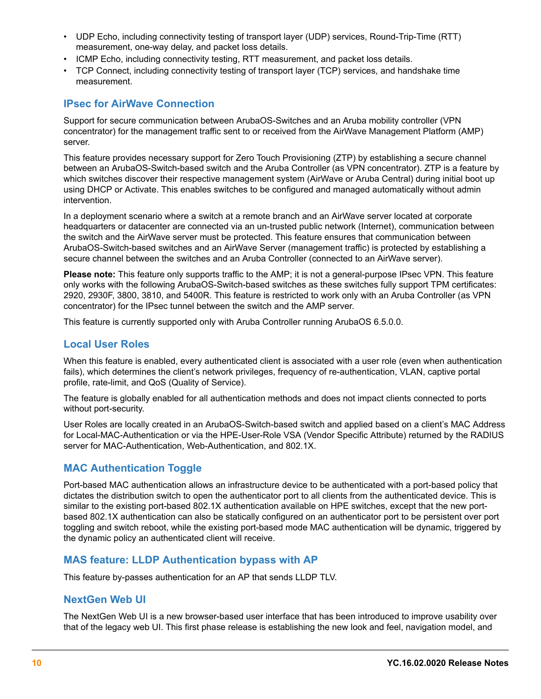- <span id="page-9-0"></span>• UDP Echo, including connectivity testing of transport layer (UDP) services, Round-Trip-Time (RTT) measurement, one-way delay, and packet loss details.
- ICMP Echo, including connectivity testing, RTT measurement, and packet loss details.
- TCP Connect, including connectivity testing of transport layer (TCP) services, and handshake time measurement.

#### **IPsec for AirWave Connection**

Support for secure communication between ArubaOS-Switches and an Aruba mobility controller (VPN concentrator) for the management traffic sent to or received from the AirWave Management Platform (AMP) server.

This feature provides necessary support for Zero Touch Provisioning (ZTP) by establishing a secure channel between an ArubaOS-Switch-based switch and the Aruba Controller (as VPN concentrator). ZTP is a feature by which switches discover their respective management system (AirWave or Aruba Central) during initial boot up using DHCP or Activate. This enables switches to be configured and managed automatically without admin intervention.

In a deployment scenario where a switch at a remote branch and an AirWave server located at corporate headquarters or datacenter are connected via an un-trusted public network (Internet), communication between the switch and the AirWave server must be protected. This feature ensures that communication between ArubaOS-Switch-based switches and an AirWave Server (management traffic) is protected by establishing a secure channel between the switches and an Aruba Controller (connected to an AirWave server).

**Please note:** This feature only supports traffic to the AMP; it is not a general-purpose IPsec VPN. This feature only works with the following ArubaOS-Switch-based switches as these switches fully support TPM certificates: 2920, 2930F, 3800, 3810, and 5400R. This feature is restricted to work only with an Aruba Controller (as VPN concentrator) for the IPsec tunnel between the switch and the AMP server.

This feature is currently supported only with Aruba Controller running ArubaOS 6.5.0.0.

### **Local User Roles**

When this feature is enabled, every authenticated client is associated with a user role (even when authentication fails), which determines the client's network privileges, frequency of re-authentication, VLAN, captive portal profile, rate-limit, and QoS (Quality of Service).

The feature is globally enabled for all authentication methods and does not impact clients connected to ports without port-security.

User Roles are locally created in an ArubaOS-Switch-based switch and applied based on a client's MAC Address for Local-MAC-Authentication or via the HPE-User-Role VSA (Vendor Specific Attribute) returned by the RADIUS server for MAC-Authentication, Web-Authentication, and 802.1X.

#### **MAC Authentication Toggle**

Port-based MAC authentication allows an infrastructure device to be authenticated with a port-based policy that dictates the distribution switch to open the authenticator port to all clients from the authenticated device. This is similar to the existing port-based 802.1X authentication available on HPE switches, except that the new portbased 802.1X authentication can also be statically configured on an authenticator port to be persistent over port toggling and switch reboot, while the existing port-based mode MAC authentication will be dynamic, triggered by the dynamic policy an authenticated client will receive.

## **MAS feature: LLDP Authentication bypass with AP**

This feature by-passes authentication for an AP that sends LLDP TLV.

#### **NextGen Web UI**

The NextGen Web UI is a new browser-based user interface that has been introduced to improve usability over that of the legacy web UI. This first phase release is establishing the new look and feel, navigation model, and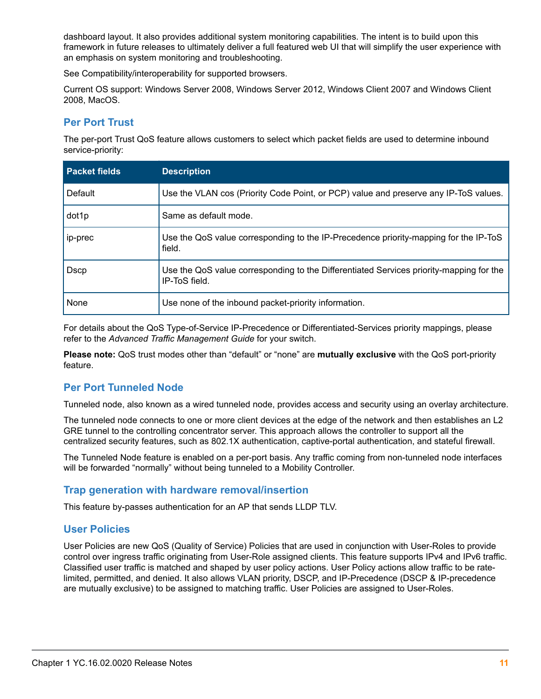<span id="page-10-0"></span>dashboard layout. It also provides additional system monitoring capabilities. The intent is to build upon this framework in future releases to ultimately deliver a full featured web UI that will simplify the user experience with an emphasis on system monitoring and troubleshooting.

See Compatibility/interoperability for supported browsers.

Current OS support: Windows Server 2008, Windows Server 2012, Windows Client 2007 and Windows Client 2008, MacOS.

### **Per Port Trust**

The per-port Trust QoS feature allows customers to select which packet fields are used to determine inbound service-priority:

| <b>Packet fields</b> | <b>Description</b>                                                                                       |
|----------------------|----------------------------------------------------------------------------------------------------------|
| Default              | Use the VLAN cos (Priority Code Point, or PCP) value and preserve any IP-ToS values.                     |
| dot1p                | Same as default mode.                                                                                    |
| ip-prec              | Use the QoS value corresponding to the IP-Precedence priority-mapping for the IP-ToS<br>field.           |
| <b>D</b> scp         | Use the QoS value corresponding to the Differentiated Services priority-mapping for the<br>IP-ToS field. |
| None                 | Use none of the inbound packet-priority information.                                                     |

For details about the QoS Type-of-Service IP-Precedence or Differentiated-Services priority mappings, please refer to the *Advanced Traffic Management Guide* for your switch.

**Please note:** QoS trust modes other than "default" or "none" are **mutually exclusive** with the QoS port-priority feature.

## **Per Port Tunneled Node**

Tunneled node, also known as a wired tunneled node, provides access and security using an overlay architecture.

The tunneled node connects to one or more client devices at the edge of the network and then establishes an L2 GRE tunnel to the controlling concentrator server. This approach allows the controller to support all the centralized security features, such as 802.1X authentication, captive-portal authentication, and stateful firewall.

The Tunneled Node feature is enabled on a per-port basis. Any traffic coming from non-tunneled node interfaces will be forwarded "normally" without being tunneled to a Mobility Controller.

#### **Trap generation with hardware removal/insertion**

This feature by-passes authentication for an AP that sends LLDP TLV.

## **User Policies**

User Policies are new QoS (Quality of Service) Policies that are used in conjunction with User-Roles to provide control over ingress traffic originating from User-Role assigned clients. This feature supports IPv4 and IPv6 traffic. Classified user traffic is matched and shaped by user policy actions. User Policy actions allow traffic to be ratelimited, permitted, and denied. It also allows VLAN priority, DSCP, and IP-Precedence (DSCP & IP-precedence are mutually exclusive) to be assigned to matching traffic. User Policies are assigned to User-Roles.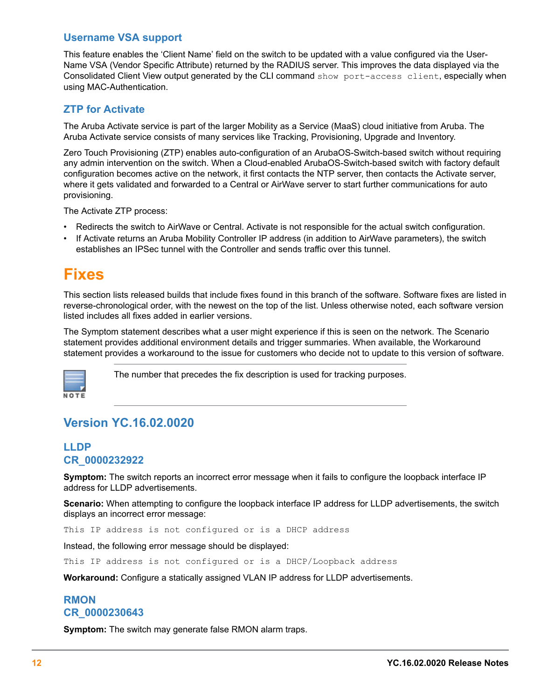#### <span id="page-11-0"></span>**Username VSA support**

This feature enables the 'Client Name' field on the switch to be updated with a value configured via the User-Name VSA (Vendor Specific Attribute) returned by the RADIUS server. This improves the data displayed via the Consolidated Client View output generated by the CLI command show port-access client, especially when using MAC-Authentication.

#### **ZTP for Activate**

The Aruba Activate service is part of the larger Mobility as a Service (MaaS) cloud initiative from Aruba. The Aruba Activate service consists of many services like Tracking, Provisioning, Upgrade and Inventory.

Zero Touch Provisioning (ZTP) enables auto-configuration of an ArubaOS-Switch-based switch without requiring any admin intervention on the switch. When a Cloud-enabled ArubaOS-Switch-based switch with factory default configuration becomes active on the network, it first contacts the NTP server, then contacts the Activate server, where it gets validated and forwarded to a Central or AirWave server to start further communications for auto provisioning.

The Activate ZTP process:

- Redirects the switch to AirWave or Central. Activate is not responsible for the actual switch configuration.
- If Activate returns an Aruba Mobility Controller IP address (in addition to AirWave parameters), the switch establishes an IPSec tunnel with the Controller and sends traffic over this tunnel.

## **Fixes**

This section lists released builds that include fixes found in this branch of the software. Software fixes are listed in reverse-chronological order, with the newest on the top of the list. Unless otherwise noted, each software version listed includes all fixes added in earlier versions.

The Symptom statement describes what a user might experience if this is seen on the network. The Scenario statement provides additional environment details and trigger summaries. When available, the Workaround statement provides a workaround to the issue for customers who decide not to update to this version of software.



The number that precedes the fix description is used for tracking purposes.

## **Version YC.16.02.0020**

## **LLDP CR\_0000232922**

**Symptom:** The switch reports an incorrect error message when it fails to configure the loopback interface IP address for LLDP advertisements.

**Scenario:** When attempting to configure the loopback interface IP address for LLDP advertisements, the switch displays an incorrect error message:

This IP address is not configured or is a DHCP address

Instead, the following error message should be displayed:

This IP address is not configured or is a DHCP/Loopback address

**Workaround:** Configure a statically assigned VLAN IP address for LLDP advertisements.

## **RMON CR\_0000230643**

**Symptom:** The switch may generate false RMON alarm traps.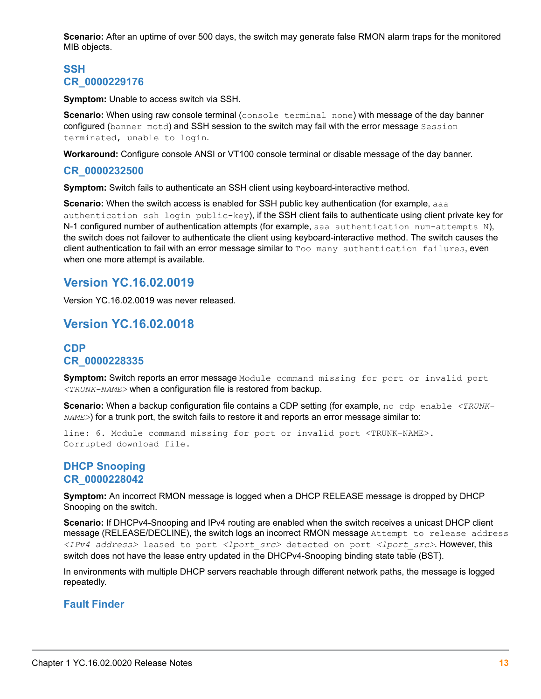<span id="page-12-0"></span>**Scenario:** After an uptime of over 500 days, the switch may generate false RMON alarm traps for the monitored MIB objects.

## **SSH CR\_0000229176**

**Symptom:** Unable to access switch via SSH.

**Scenario:** When using raw console terminal (console terminal none) with message of the day banner configured (banner motd) and SSH session to the switch may fail with the error message Session terminated, unable to login.

**Workaround:** Configure console ANSI or VT100 console terminal or disable message of the day banner.

#### **CR\_0000232500**

**Symptom:** Switch fails to authenticate an SSH client using keyboard-interactive method.

**Scenario:** When the switch access is enabled for SSH public key authentication (for example, aaa authentication ssh login public-key), if the SSH client fails to authenticate using client private key for N-1 configured number of authentication attempts (for example, aaa authentication num-attempts N), the switch does not failover to authenticate the client using keyboard-interactive method. The switch causes the client authentication to fail with an error message similar to Too many authentication failures, even when one more attempt is available.

## **Version YC.16.02.0019**

Version YC.16.02.0019 was never released.

## **Version YC.16.02.0018**

## **CDP CR\_0000228335**

**Symptom:** Switch reports an error message Module command missing for port or invalid port *<TRUNK-NAME>* when a configuration file is restored from backup.

**Scenario:** When a backup configuration file contains a CDP setting (for example, no cdp enable *<TRUNK-NAME>*) for a trunk port, the switch fails to restore it and reports an error message similar to:

line: 6. Module command missing for port or invalid port <TRUNK-NAME>. Corrupted download file.

#### **DHCP Snooping CR\_0000228042**

**Symptom:** An incorrect RMON message is logged when a DHCP RELEASE message is dropped by DHCP Snooping on the switch.

**Scenario:** If DHCPv4-Snooping and IPv4 routing are enabled when the switch receives a unicast DHCP client message (RELEASE/DECLINE), the switch logs an incorrect RMON message Attempt to release address *<IPv4 address>* leased to port *<lport\_src>* detected on port *<lport\_src>*. However, this switch does not have the lease entry updated in the DHCPv4-Snooping binding state table (BST).

In environments with multiple DHCP servers reachable through different network paths, the message is logged repeatedly.

## **Fault Finder**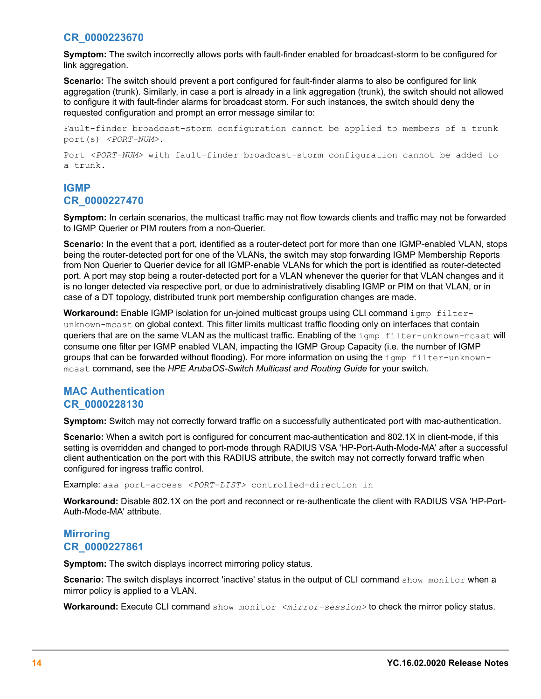<span id="page-13-0"></span>**Symptom:** The switch incorrectly allows ports with fault-finder enabled for broadcast-storm to be configured for link aggregation.

**Scenario:** The switch should prevent a port configured for fault-finder alarms to also be configured for link aggregation (trunk). Similarly, in case a port is already in a link aggregation (trunk), the switch should not allowed to configure it with fault-finder alarms for broadcast storm. For such instances, the switch should deny the requested configuration and prompt an error message similar to:

Fault-finder broadcast-storm configuration cannot be applied to members of a trunk port(s) *<PORT-NUM>*.

Port *<PORT-NUM>* with fault-finder broadcast-storm configuration cannot be added to a trunk.

### **IGMP CR\_0000227470**

**Symptom:** In certain scenarios, the multicast traffic may not flow towards clients and traffic may not be forwarded to IGMP Querier or PIM routers from a non-Querier.

**Scenario:** In the event that a port, identified as a router-detect port for more than one IGMP-enabled VLAN, stops being the router-detected port for one of the VLANs, the switch may stop forwarding IGMP Membership Reports from Non Querier to Querier device for all IGMP-enable VLANs for which the port is identified as router-detected port. A port may stop being a router-detected port for a VLAN whenever the querier for that VLAN changes and it is no longer detected via respective port, or due to administratively disabling IGMP or PIM on that VLAN, or in case of a DT topology, distributed trunk port membership configuration changes are made.

**Workaround:** Enable IGMP isolation for un-joined multicast groups using CLI command igmp filterunknown-mcast on global context. This filter limits multicast traffic flooding only on interfaces that contain queriers that are on the same VLAN as the multicast traffic. Enabling of the igmp filter-unknown-mcast will consume one filter per IGMP enabled VLAN, impacting the IGMP Group Capacity (i.e. the number of IGMP groups that can be forwarded without flooding). For more information on using the igmp filter-unknownmcast command, see the *HPE ArubaOS-Switch Multicast and Routing Guide* for your switch.

#### **MAC Authentication CR\_0000228130**

**Symptom:** Switch may not correctly forward traffic on a successfully authenticated port with mac-authentication.

**Scenario:** When a switch port is configured for concurrent mac-authentication and 802.1X in client-mode, if this setting is overridden and changed to port-mode through RADIUS VSA 'HP-Port-Auth-Mode-MA' after a successful client authentication on the port with this RADIUS attribute, the switch may not correctly forward traffic when configured for ingress traffic control.

Example: aaa port-access *<PORT-LIST>* controlled-direction in

**Workaround:** Disable 802.1X on the port and reconnect or re-authenticate the client with RADIUS VSA 'HP-Port-Auth-Mode-MA' attribute.

## **Mirroring CR\_0000227861**

**Symptom:** The switch displays incorrect mirroring policy status.

**Scenario:** The switch displays incorrect 'inactive' status in the output of CLI command show monitor when a mirror policy is applied to a VLAN.

Workaround: Execute CLI command show monitor <mirror-session> to check the mirror policy status.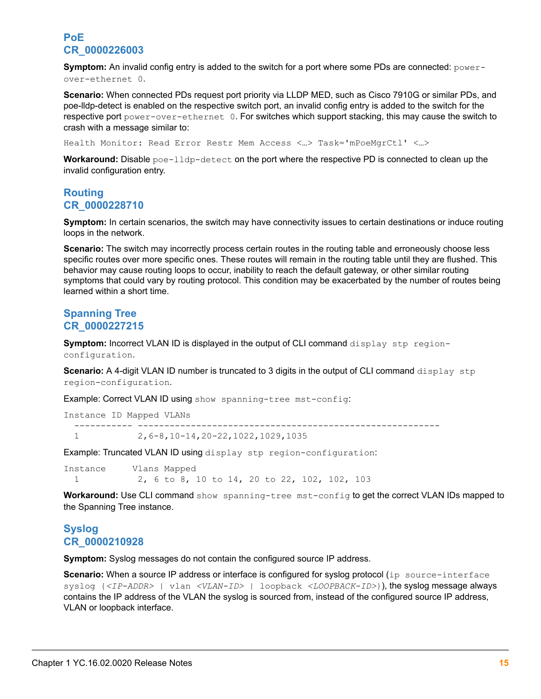## <span id="page-14-0"></span>**PoE CR\_0000226003**

**Symptom:** An invalid config entry is added to the switch for a port where some PDs are connected: powerover-ethernet 0.

**Scenario:** When connected PDs request port priority via LLDP MED, such as Cisco 7910G or similar PDs, and poe-lldp-detect is enabled on the respective switch port, an invalid config entry is added to the switch for the respective port power-over-ethernet 0. For switches which support stacking, this may cause the switch to crash with a message similar to:

Health Monitor: Read Error Restr Mem Access <…> Task='mPoeMgrCtl' <…>

**Workaround:** Disable poe-lldp-detect on the port where the respective PD is connected to clean up the invalid configuration entry.

## **Routing CR\_0000228710**

**Symptom:** In certain scenarios, the switch may have connectivity issues to certain destinations or induce routing loops in the network.

**Scenario:** The switch may incorrectly process certain routes in the routing table and erroneously choose less specific routes over more specific ones. These routes will remain in the routing table until they are flushed. This behavior may cause routing loops to occur, inability to reach the default gateway, or other similar routing symptoms that could vary by routing protocol. This condition may be exacerbated by the number of routes being learned within a short time.

#### **Spanning Tree CR\_0000227215**

**Symptom:** Incorrect VLAN ID is displayed in the output of CLI command display stp regionconfiguration.

**Scenario:** A 4-digit VLAN ID number is truncated to 3 digits in the output of CLI command display stp region-configuration.

Example: Correct VLAN ID using show spanning-tree mst-config:

Instance ID Mapped VLANs

----------- ---------------------------------------------------------

1 2,6-8,10-14,20-22,1022,1029,1035

Example: Truncated VLAN ID using display stp region-configuration:

Instance Vlans Mapped 1 2, 6 to 8, 10 to 14, 20 to 22, 102, 102, 103

**Workaround:** Use CLI command show spanning-tree mst-config to get the correct VLAN IDs mapped to the Spanning Tree instance.

## **Syslog CR\_0000210928**

**Symptom:** Syslog messages do not contain the configured source IP address.

**Scenario:** When a source IP address or interface is configured for syslog protocol (ip source-interface syslog {*<IP-ADDR>* | vlan *<VLAN-ID>* | loopback *<LOOPBACK-ID>*}), the syslog message always contains the IP address of the VLAN the syslog is sourced from, instead of the configured source IP address, VLAN or loopback interface.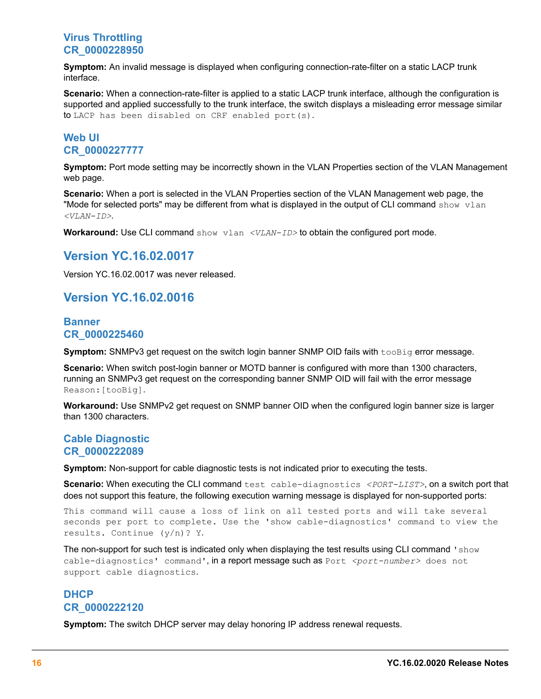## <span id="page-15-0"></span>**Virus Throttling CR\_0000228950**

**Symptom:** An invalid message is displayed when configuring connection-rate-filter on a static LACP trunk interface.

**Scenario:** When a connection-rate-filter is applied to a static LACP trunk interface, although the configuration is supported and applied successfully to the trunk interface, the switch displays a misleading error message similar to LACP has been disabled on CRF enabled port(s).

## **Web UI CR\_0000227777**

**Symptom:** Port mode setting may be incorrectly shown in the VLAN Properties section of the VLAN Management web page.

**Scenario:** When a port is selected in the VLAN Properties section of the VLAN Management web page, the "Mode for selected ports" may be different from what is displayed in the output of CLI command show vlan *<VLAN-ID>*.

**Workaround:** Use CLI command show vlan <VLAN-ID> to obtain the configured port mode.

## **Version YC.16.02.0017**

Version YC.16.02.0017 was never released.

## **Version YC.16.02.0016**

## **Banner CR\_0000225460**

**Symptom:** SNMPv3 get request on the switch login banner SNMP OID fails with  $\text{to}$ Big error message.

**Scenario:** When switch post-login banner or MOTD banner is configured with more than 1300 characters, running an SNMPv3 get request on the corresponding banner SNMP OID will fail with the error message Reason:[tooBig].

**Workaround:** Use SNMPv2 get request on SNMP banner OID when the configured login banner size is larger than 1300 characters.

## **Cable Diagnostic CR\_0000222089**

**Symptom:** Non-support for cable diagnostic tests is not indicated prior to executing the tests.

**Scenario:** When executing the CLI command test cable-diagnostics *<PORT-LIST>*, on a switch port that does not support this feature, the following execution warning message is displayed for non-supported ports:

This command will cause a loss of link on all tested ports and will take several seconds per port to complete. Use the 'show cable-diagnostics' command to view the results. Continue (y/n)? Y.

The non-support for such test is indicated only when displaying the test results using CLI command 'show cable-diagnostics' command', in a report message such as Port *<port-number>* does not support cable diagnostics.

## **DHCP CR\_0000222120**

**Symptom:** The switch DHCP server may delay honoring IP address renewal requests.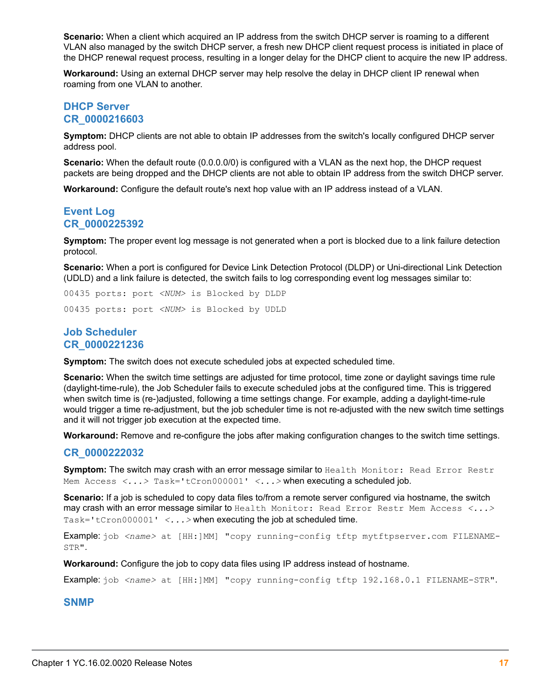<span id="page-16-0"></span>**Scenario:** When a client which acquired an IP address from the switch DHCP server is roaming to a different VLAN also managed by the switch DHCP server, a fresh new DHCP client request process is initiated in place of the DHCP renewal request process, resulting in a longer delay for the DHCP client to acquire the new IP address.

**Workaround:** Using an external DHCP server may help resolve the delay in DHCP client IP renewal when roaming from one VLAN to another.

#### **DHCP Server CR\_0000216603**

**Symptom:** DHCP clients are not able to obtain IP addresses from the switch's locally configured DHCP server address pool.

**Scenario:** When the default route (0.0.0.0/0) is configured with a VLAN as the next hop, the DHCP request packets are being dropped and the DHCP clients are not able to obtain IP address from the switch DHCP server.

**Workaround:** Configure the default route's next hop value with an IP address instead of a VLAN.

#### **Event Log CR\_0000225392**

**Symptom:** The proper event log message is not generated when a port is blocked due to a link failure detection protocol.

**Scenario:** When a port is configured for Device Link Detection Protocol (DLDP) or Uni-directional Link Detection (UDLD) and a link failure is detected, the switch fails to log corresponding event log messages similar to:

00435 ports: port *<NUM>* is Blocked by DLDP 00435 ports: port *<NUM>* is Blocked by UDLD

#### **Job Scheduler CR\_0000221236**

**Symptom:** The switch does not execute scheduled jobs at expected scheduled time.

**Scenario:** When the switch time settings are adjusted for time protocol, time zone or daylight savings time rule (daylight-time-rule), the Job Scheduler fails to execute scheduled jobs at the configured time. This is triggered when switch time is (re-)adjusted, following a time settings change. For example, adding a daylight-time-rule would trigger a time re-adjustment, but the job scheduler time is not re-adjusted with the new switch time settings and it will not trigger job execution at the expected time.

**Workaround:** Remove and re-configure the jobs after making configuration changes to the switch time settings.

#### **CR\_0000222032**

**Symptom:** The switch may crash with an error message similar to Health Monitor: Read Error Restr Mem Access *<...>* Task='tCron000001' *<...>* when executing a scheduled job.

**Scenario:** If a job is scheduled to copy data files to/from a remote server configured via hostname, the switch may crash with an error message similar to Health Monitor: Read Error Restr Mem Access *<...>* Task='tCron000001' *<...>* when executing the job at scheduled time.

Example: job <name> at [HH:]MM] "copy running-config tftp mytftpserver.com FILENAME-STR".

**Workaround:** Configure the job to copy data files using IP address instead of hostname.

Example: job <name> at [HH:]MM] "copy running-config tftp 192.168.0.1 FILENAME-STR".

#### **SNMP**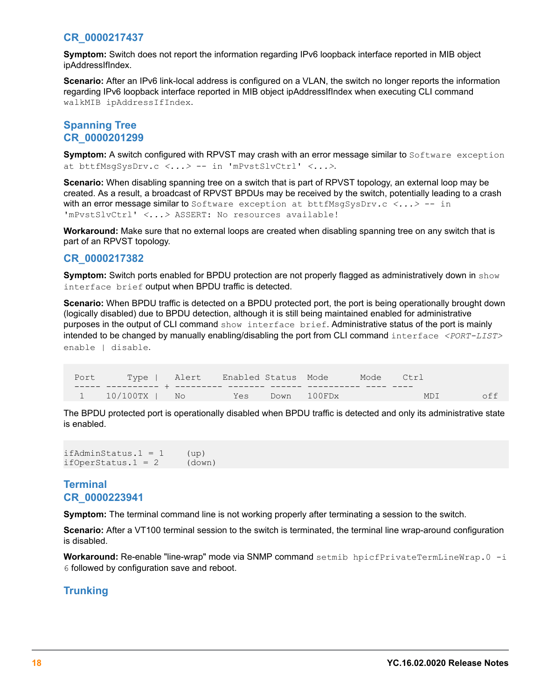<span id="page-17-0"></span>**Symptom:** Switch does not report the information regarding IPv6 loopback interface reported in MIB object ipAddressIfIndex.

**Scenario:** After an IPv6 link-local address is configured on a VLAN, the switch no longer reports the information regarding IPv6 loopback interface reported in MIB object ipAddressIfIndex when executing CLI command walkMIB ipAddressIfIndex.

## **Spanning Tree CR\_0000201299**

**Symptom:** A switch configured with RPVST may crash with an error message similar to Software exception at bttfMsgSysDrv.c *<...>* -- in 'mPvstSlvCtrl' *<...>*.

**Scenario:** When disabling spanning tree on a switch that is part of RPVST topology, an external loop may be created. As a result, a broadcast of RPVST BPDUs may be received by the switch, potentially leading to a crash with an error message similar to Software exception at bttfMsgSysDrv.c <...> -- in 'mPvstSlvCtrl' *<...>* ASSERT: No resources available!

**Workaround:** Make sure that no external loops are created when disabling spanning tree on any switch that is part of an RPVST topology.

#### **CR\_0000217382**

**Symptom:** Switch ports enabled for BPDU protection are not properly flagged as administratively down in show interface brief output when BPDU traffic is detected.

**Scenario:** When BPDU traffic is detected on a BPDU protected port, the port is being operationally brought down (logically disabled) due to BPDU detection, although it is still being maintained enabled for administrative purposes in the output of CLI command show interface brief. Administrative status of the port is mainly intended to be changed by manually enabling/disabling the port from CLI command interface *<PORT-LIST>* enable | disable.

| Port Type   Alert Enabled Status Mode Mode Ctrl |  |  |  |         |
|-------------------------------------------------|--|--|--|---------|
|                                                 |  |  |  |         |
| 1 10/100TX   No Yes Down 100FDx                 |  |  |  | MDI off |

The BPDU protected port is operationally disabled when BPDU traffic is detected and only its administrative state is enabled.

```
ifAdminStatus.1 = 1 (up)
ifOperStatus.1 = 2 (down)
```
## **Terminal CR\_0000223941**

**Symptom:** The terminal command line is not working properly after terminating a session to the switch.

**Scenario:** After a VT100 terminal session to the switch is terminated, the terminal line wrap-around configuration is disabled.

**Workaround:** Re-enable "line-wrap" mode via SNMP command setmib hpicfPrivateTermLineWrap. 0 -i 6 followed by configuration save and reboot.

## **Trunking**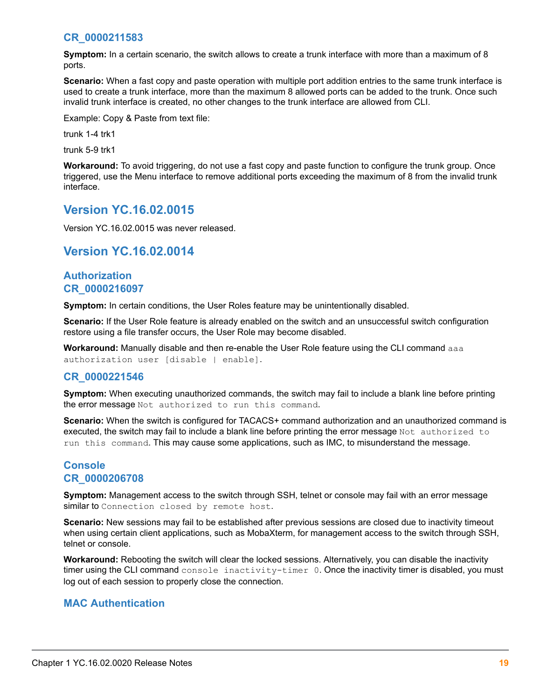<span id="page-18-0"></span>**Symptom:** In a certain scenario, the switch allows to create a trunk interface with more than a maximum of 8 ports.

**Scenario:** When a fast copy and paste operation with multiple port addition entries to the same trunk interface is used to create a trunk interface, more than the maximum 8 allowed ports can be added to the trunk. Once such invalid trunk interface is created, no other changes to the trunk interface are allowed from CLI.

Example: Copy & Paste from text file:

trunk 1-4 trk1

trunk 5-9 trk1

**Workaround:** To avoid triggering, do not use a fast copy and paste function to configure the trunk group. Once triggered, use the Menu interface to remove additional ports exceeding the maximum of 8 from the invalid trunk interface.

## **Version YC.16.02.0015**

Version YC.16.02.0015 was never released.

## **Version YC.16.02.0014**

#### **Authorization CR\_0000216097**

**Symptom:** In certain conditions, the User Roles feature may be unintentionally disabled.

**Scenario:** If the User Role feature is already enabled on the switch and an unsuccessful switch configuration restore using a file transfer occurs, the User Role may become disabled.

**Workaround:** Manually disable and then re-enable the User Role feature using the CLI command aaa authorization user [disable | enable].

## **CR\_0000221546**

**Symptom:** When executing unauthorized commands, the switch may fail to include a blank line before printing the error message Not authorized to run this command.

**Scenario:** When the switch is configured for TACACS+ command authorization and an unauthorized command is executed, the switch may fail to include a blank line before printing the error message Not authorized to run this command. This may cause some applications, such as IMC, to misunderstand the message.

## **Console CR\_0000206708**

**Symptom:** Management access to the switch through SSH, telnet or console may fail with an error message similar to Connection closed by remote host.

**Scenario:** New sessions may fail to be established after previous sessions are closed due to inactivity timeout when using certain client applications, such as MobaXterm, for management access to the switch through SSH, telnet or console.

**Workaround:** Rebooting the switch will clear the locked sessions. Alternatively, you can disable the inactivity timer using the CLI command console inactivity-timer 0. Once the inactivity timer is disabled, you must log out of each session to properly close the connection.

## **MAC Authentication**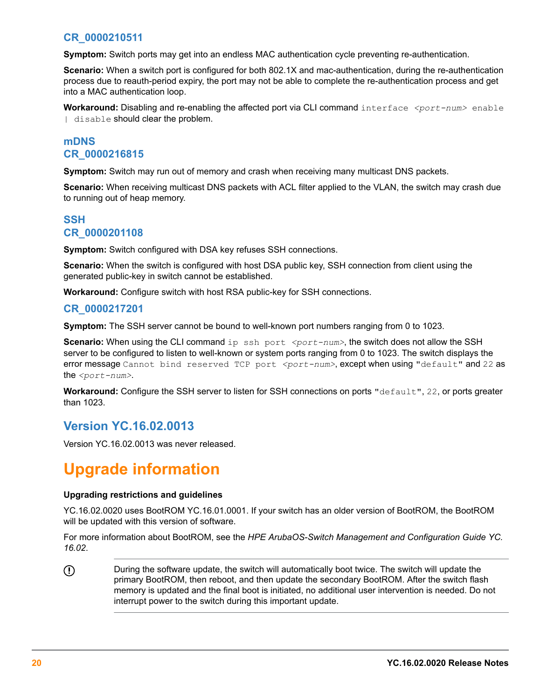<span id="page-19-0"></span>**Symptom:** Switch ports may get into an endless MAC authentication cycle preventing re-authentication.

**Scenario:** When a switch port is configured for both 802.1X and mac-authentication, during the re-authentication process due to reauth-period expiry, the port may not be able to complete the re-authentication process and get into a MAC authentication loop.

**Workaround:** Disabling and re-enabling the affected port via CLI command interface *<port-num>* enable | disable should clear the problem.

## **mDNS CR\_0000216815**

**Symptom:** Switch may run out of memory and crash when receiving many multicast DNS packets.

**Scenario:** When receiving multicast DNS packets with ACL filter applied to the VLAN, the switch may crash due to running out of heap memory.

## **SSH CR\_0000201108**

**Symptom:** Switch configured with DSA key refuses SSH connections.

**Scenario:** When the switch is configured with host DSA public key, SSH connection from client using the generated public-key in switch cannot be established.

**Workaround:** Configure switch with host RSA public-key for SSH connections.

#### **CR\_0000217201**

**Symptom:** The SSH server cannot be bound to well-known port numbers ranging from 0 to 1023.

**Scenario:** When using the CLI command ip ssh port *<port-num>*, the switch does not allow the SSH server to be configured to listen to well-known or system ports ranging from 0 to 1023. The switch displays the error message Cannot bind reserved TCP port <port-num>, except when using "default" and 22 as the *<port-num>*.

**Workaround:** Configure the SSH server to listen for SSH connections on ports "default", 22, or ports greater than 1023.

## **Version YC.16.02.0013**

Version YC.16.02.0013 was never released.

## **Upgrade information**

#### **Upgrading restrictions and guidelines**

YC.16.02.0020 uses BootROM YC.16.01.0001. If your switch has an older version of BootROM, the BootROM will be updated with this version of software.

For more information about BootROM, see the *HPE ArubaOS-Switch Management and Configuration Guide YC. 16.02*.

 $\mathcal{F}$ During the software update, the switch will automatically boot twice. The switch will update the primary BootROM, then reboot, and then update the secondary BootROM. After the switch flash memory is updated and the final boot is initiated, no additional user intervention is needed. Do not interrupt power to the switch during this important update.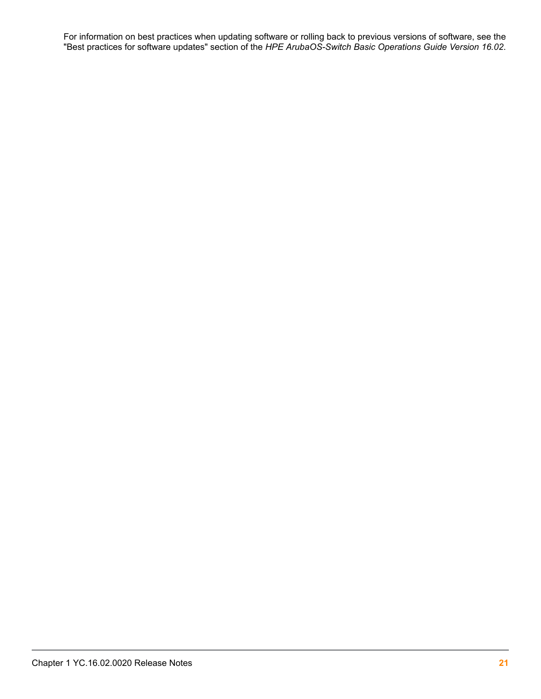For information on best practices when updating software or rolling back to previous versions of software, see the "Best practices for software updates" section of the *HPE ArubaOS-Switch Basic Operations Guide Version 16.02*.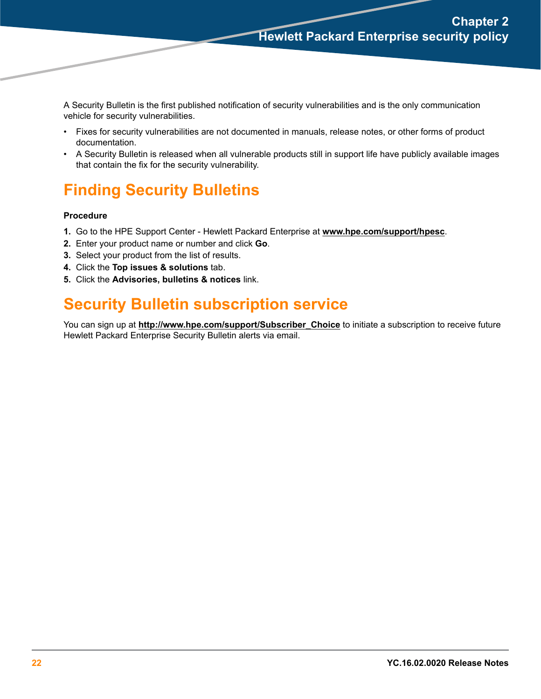<span id="page-21-0"></span>A Security Bulletin is the first published notification of security vulnerabilities and is the only communication vehicle for security vulnerabilities.

- Fixes for security vulnerabilities are not documented in manuals, release notes, or other forms of product documentation.
- A Security Bulletin is released when all vulnerable products still in support life have publicly available images that contain the fix for the security vulnerability.

## **Finding Security Bulletins**

#### **Procedure**

- **1.** Go to the HPE Support Center Hewlett Packard Enterprise at **[www.hpe.com/support/hpesc](http://www.hpe.com/support/hpesc)**.
- **2.** Enter your product name or number and click **Go**.
- **3.** Select your product from the list of results.
- **4.** Click the **Top issues & solutions** tab.
- **5.** Click the **Advisories, bulletins & notices** link.

## **Security Bulletin subscription service**

You can sign up at **[http://www.hpe.com/support/Subscriber\\_Choice](http://www.hpe.com/support/Subscriber_Choice)** to initiate a subscription to receive future Hewlett Packard Enterprise Security Bulletin alerts via email.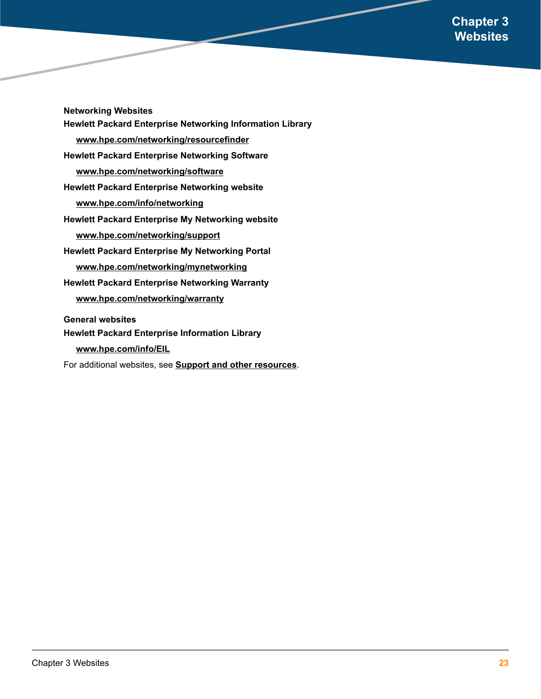**Chapter 3 Websites**

<span id="page-22-0"></span>**Networking Websites**

- **Hewlett Packard Enterprise Networking Information Library [www.hpe.com/networking/resourcefinder](http://www.hpe.com/networking/resourcefinder) Hewlett Packard Enterprise Networking Software [www.hpe.com/networking/software](http://www.hpe.com/networking/software) Hewlett Packard Enterprise Networking website [www.hpe.com/info/networking](http://www.hp.com/info/networking) Hewlett Packard Enterprise My Networking website [www.hpe.com/networking/support](http://www.hpe.com/networking/support) Hewlett Packard Enterprise My Networking Portal [www.hpe.com/networking/mynetworking](http://www.hpe.com/networking/mynetworking) Hewlett Packard Enterprise Networking Warranty [www.hpe.com/networking/warranty](http://www.hpe.com/networking/warranty) General websites Hewlett Packard Enterprise Information Library [www.hpe.com/info/EIL](http://www.hpe.com/info/EIL)**
- For additional websites, see **[Support and other resources](#page-23-0)**.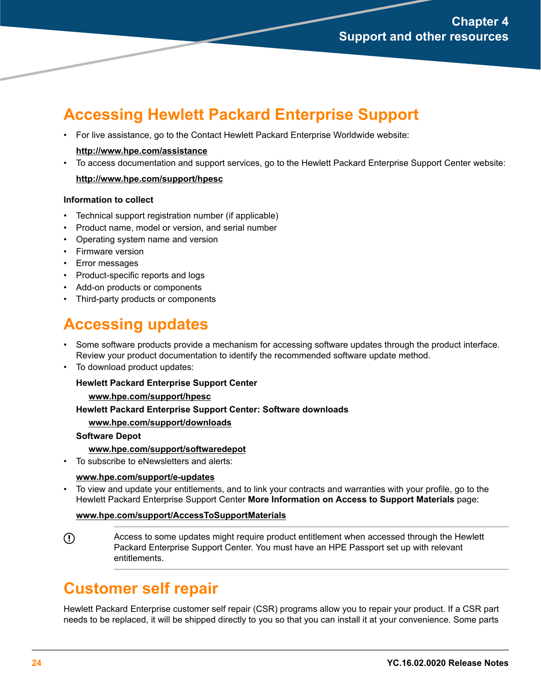## <span id="page-23-0"></span>**Accessing Hewlett Packard Enterprise Support**

• For live assistance, go to the Contact Hewlett Packard Enterprise Worldwide website:

#### **<http://www.hpe.com/assistance>**

• To access documentation and support services, go to the Hewlett Packard Enterprise Support Center website:

#### **<http://www.hpe.com/support/hpesc>**

#### **Information to collect**

- Technical support registration number (if applicable)
- Product name, model or version, and serial number
- Operating system name and version
- Firmware version
- Error messages
- Product-specific reports and logs
- Add-on products or components
- Third-party products or components

## **Accessing updates**

- Some software products provide a mechanism for accessing software updates through the product interface. Review your product documentation to identify the recommended software update method.
- To download product updates:

#### **Hewlett Packard Enterprise Support Center**

#### **[www.hpe.com/support/hpesc](http://www.hpe.com/support/hpesc)**

#### **Hewlett Packard Enterprise Support Center: Software downloads**

#### **[www.hpe.com/support/downloads](http://www.hpe.com/support/downloads)**

#### **Software Depot**

#### **[www.hpe.com/support/softwaredepot](http://www.hpe.com/support/softwaredepot)**

• To subscribe to eNewsletters and alerts:

#### **[www.hpe.com/support/e-updates](http://www.hpe.com/support/e-updates)**

• To view and update your entitlements, and to link your contracts and warranties with your profile, go to the Hewlett Packard Enterprise Support Center **More Information on Access to Support Materials** page:

#### **[www.hpe.com/support/AccessToSupportMaterials](http://www.hpe.com/support/AccessToSupportMaterials)**

 $\mathbb{O}$ Access to some updates might require product entitlement when accessed through the Hewlett Packard Enterprise Support Center. You must have an HPE Passport set up with relevant entitlements.

## **Customer self repair**

Hewlett Packard Enterprise customer self repair (CSR) programs allow you to repair your product. If a CSR part needs to be replaced, it will be shipped directly to you so that you can install it at your convenience. Some parts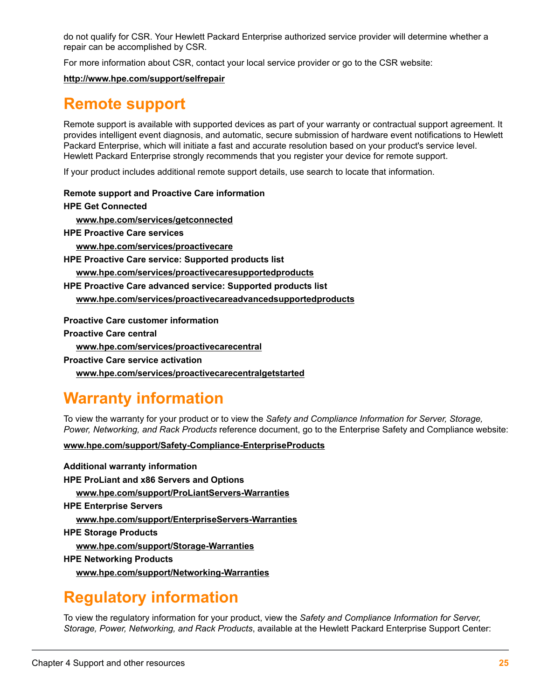<span id="page-24-0"></span>do not qualify for CSR. Your Hewlett Packard Enterprise authorized service provider will determine whether a repair can be accomplished by CSR.

For more information about CSR, contact your local service provider or go to the CSR website:

**<http://www.hpe.com/support/selfrepair>**

## **Remote support**

Remote support is available with supported devices as part of your warranty or contractual support agreement. It provides intelligent event diagnosis, and automatic, secure submission of hardware event notifications to Hewlett Packard Enterprise, which will initiate a fast and accurate resolution based on your product's service level. Hewlett Packard Enterprise strongly recommends that you register your device for remote support.

If your product includes additional remote support details, use search to locate that information.

**Remote support and Proactive Care information**

**HPE Get Connected**

**[www.hpe.com/services/getconnected](http://www.hpe.com/services/getconnected)**

**HPE Proactive Care services**

**[www.hpe.com/services/proactivecare](http://www.hpe.com/services/proactivecare)**

**HPE Proactive Care service: Supported products list**

**[www.hpe.com/services/proactivecaresupportedproducts](http://www.hpe.com/services/proactivecaresupportedproducts)**

**HPE Proactive Care advanced service: Supported products list**

**[www.hpe.com/services/proactivecareadvancedsupportedproducts](http://www.hpe.com/services/proactivecareadvancedsupportedproducts)**

**Proactive Care customer information**

**Proactive Care central**

**[www.hpe.com/services/proactivecarecentral](http://www.hpe.com/services/proactivecarecentral)**

**Proactive Care service activation**

**[www.hpe.com/services/proactivecarecentralgetstarted](http://www.hpe.com/services/proactivecarecentralgetstarted)**

## **Warranty information**

To view the warranty for your product or to view the *Safety and Compliance Information for Server, Storage, Power, Networking, and Rack Products* reference document, go to the Enterprise Safety and Compliance website:

**[www.hpe.com/support/Safety-Compliance-EnterpriseProducts](http://www.hpe.com/support/Safety-Compliance-EnterpriseProducts)**

**Additional warranty information HPE ProLiant and x86 Servers and Options [www.hpe.com/support/ProLiantServers-Warranties](http://www.hpe.com/support/ProLiantServers-Warranties) HPE Enterprise Servers [www.hpe.com/support/EnterpriseServers-Warranties](http://www.hpe.com/support/EnterpriseServers-Warranties) HPE Storage Products [www.hpe.com/support/Storage-Warranties](http://www.hpe.com/support/Storage-Warranties) HPE Networking Products**

**[www.hpe.com/support/Networking-Warranties](http://www.hpe.com/support/Networking-Warranties)**

## **Regulatory information**

To view the regulatory information for your product, view the *Safety and Compliance Information for Server, Storage, Power, Networking, and Rack Products*, available at the Hewlett Packard Enterprise Support Center: